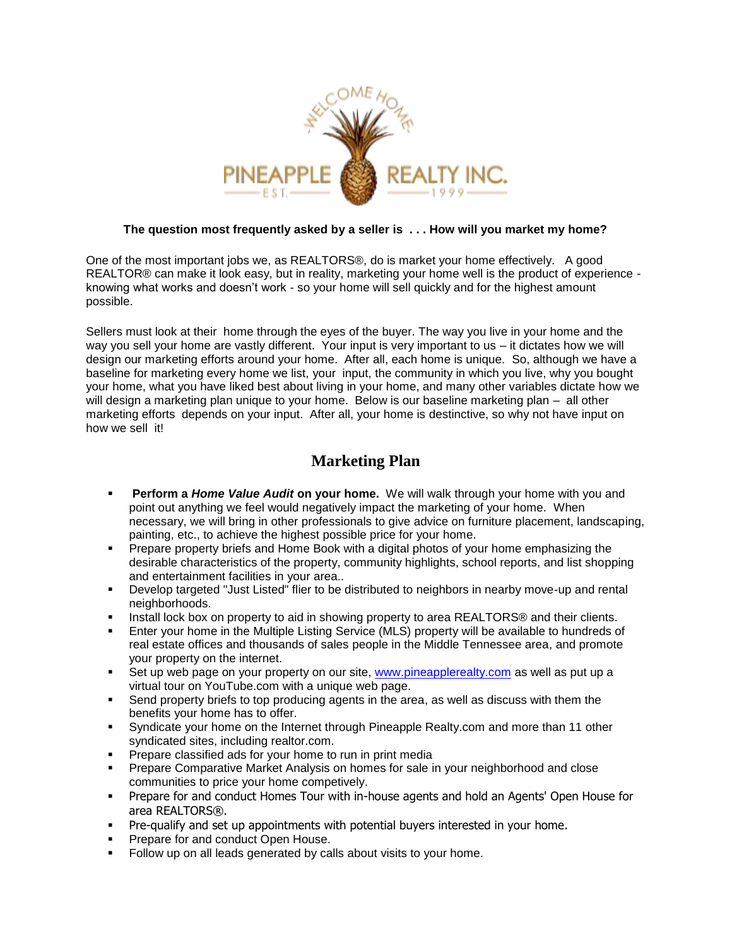

## **The question most frequently asked by a seller is . . . How will you market my home?**

One of the most important jobs we, as REALTORS®, do is market your home effectively. A good REALTOR® can make it look easy, but in reality, marketing your home well is the product of experience knowing what works and doesn't work - so your home will sell quickly and for the highest amount possible.

Sellers must look at their home through the eyes of the buyer. The way you live in your home and the way you sell your home are vastly different. Your input is very important to us – it dictates how we will design our marketing efforts around your home. After all, each home is unique. So, although we have a baseline for marketing every home we list, your input, the community in which you live, why you bought your home, what you have liked best about living in your home, and many other variables dictate how we will design a marketing plan unique to your home. Below is our baseline marketing plan – all other marketing efforts depends on your input. After all, your home is destinctive, so why not have input on how we sell it!

## **Marketing Plan**

- **Perform a** *Home Value Audit* **on your home.** We will walk through your home with you and point out anything we feel would negatively impact the marketing of your home. When necessary, we will bring in other professionals to give advice on furniture placement, landscaping, painting, etc., to achieve the highest possible price for your home.
- Prepare property briefs and Home Book with a digital photos of your home emphasizing the desirable characteristics of the property, community highlights, school reports, and list shopping and entertainment facilities in your area..
- Develop targeted "Just Listed" flier to be distributed to neighbors in nearby move-up and rental neighborhoods.
- Install lock box on property to aid in showing property to area REALTORS® and their clients.
- Enter your home in the Multiple Listing Service (MLS) property will be available to hundreds of real estate offices and thousands of sales people in the Middle Tennessee area, and promote your property on the internet.
- Set up web page on your property on our site, [www.pineapplerealty.com](http://www.pineapplerealty.com/) as well as put up a virtual tour on YouTube.com with a unique web page.
- Send property briefs to top producing agents in the area, as well as discuss with them the benefits your home has to offer.
- Syndicate your home on the Internet through Pineapple Realty.com and more than 11 other syndicated sites, including realtor.com.
- Prepare classified ads for your home to run in print media
- Prepare Comparative Market Analysis on homes for sale in your neighborhood and close communities to price your home competively.
- **Prepare for and conduct Homes Tour with in-house agents and hold an Agents' Open House for** area REALTORS®.
- Pre-qualify and set up appointments with potential buyers interested in your home.
- Prepare for and conduct Open House.
- Follow up on all leads generated by calls about visits to your home.